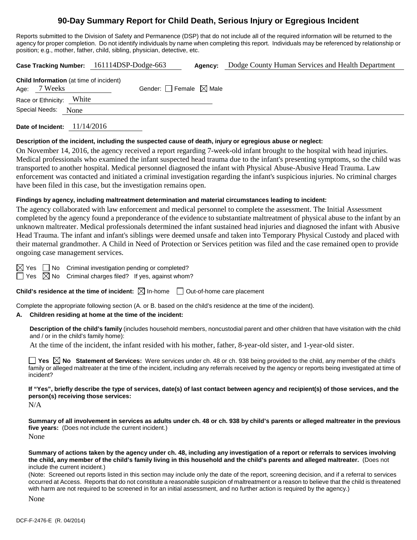# **90-Day Summary Report for Child Death, Serious Injury or Egregious Incident**

Reports submitted to the Division of Safety and Permanence (DSP) that do not include all of the required information will be returned to the agency for proper completion. Do not identify individuals by name when completing this report. Individuals may be referenced by relationship or position; e.g., mother, father, child, sibling, physician, detective, etc.

| Case Tracking Number: 161114DSP-Dodge-663                      |       |                                 | Agency: | Dodge County Human Services and Health Department |
|----------------------------------------------------------------|-------|---------------------------------|---------|---------------------------------------------------|
| <b>Child Information</b> (at time of incident)<br>Age: 7 Weeks |       | Gender: Female $\boxtimes$ Male |         |                                                   |
| Race or Ethnicity:                                             | White |                                 |         |                                                   |
| Special Needs:<br>None                                         |       |                                 |         |                                                   |
|                                                                |       |                                 |         |                                                   |

**Date of Incident:** 11/14/2016

#### **Description of the incident, including the suspected cause of death, injury or egregious abuse or neglect:**

On November 14, 2016, the agency received a report regarding 7-week-old infant brought to the hospital with head injuries. Medical professionals who examined the infant suspected head trauma due to the infant's presenting symptoms, so the child was transported to another hospital. Medical personnel diagnosed the infant with Physical Abuse-Abusive Head Trauma. Law enforcement was contacted and initiated a criminal investigation regarding the infant's suspicious injuries. No criminal charges have been filed in this case, but the investigation remains open.

#### **Findings by agency, including maltreatment determination and material circumstances leading to incident:**

The agency collaborated with law enforcement and medical personnel to complete the assessment. The Initial Assessment completed by the agency found a preponderance of the evidence to substantiate maltreatment of physical abuse to the infant by an unknown maltreater. Medical professionals determined the infant sustained head injuries and diagnosed the infant with Abusive Head Trauma. The infant and infant's siblings were deemed unsafe and taken into Temporary Physical Custody and placed with their maternal grandmother. A Child in Need of Protection or Services petition was filed and the case remained open to provide ongoing case management services.

 $\boxtimes$  Yes  $\Box$  No Criminal investigation pending or completed?

 $\Box$  Yes  $\boxtimes$  No Criminal charges filed? If yes, against whom?

### **Child's residence at the time of incident:**  $\boxtimes$  In-home  $\Box$  Out-of-home care placement

Complete the appropriate following section (A. or B. based on the child's residence at the time of the incident).

### **A. Children residing at home at the time of the incident:**

**Description of the child's family** (includes household members, noncustodial parent and other children that have visitation with the child and / or in the child's family home):

At the time of the incident, the infant resided with his mother, father, 8-year-old sister, and 1-year-old sister.

■ Yes △ No Statement of Services: Were services under ch. 48 or ch. 938 being provided to the child, any member of the child's family or alleged maltreater at the time of the incident, including any referrals received by the agency or reports being investigated at time of incident?

**If "Yes", briefly describe the type of services, date(s) of last contact between agency and recipient(s) of those services, and the person(s) receiving those services:**

N/A

**Summary of all involvement in services as adults under ch. 48 or ch. 938 by child's parents or alleged maltreater in the previous five years:** (Does not include the current incident.) None

**Summary of actions taken by the agency under ch. 48, including any investigation of a report or referrals to services involving the child, any member of the child's family living in this household and the child's parents and alleged maltreater.** (Does not include the current incident.)

(Note: Screened out reports listed in this section may include only the date of the report, screening decision, and if a referral to services occurred at Access. Reports that do not constitute a reasonable suspicion of maltreatment or a reason to believe that the child is threatened with harm are not required to be screened in for an initial assessment, and no further action is required by the agency.)

None